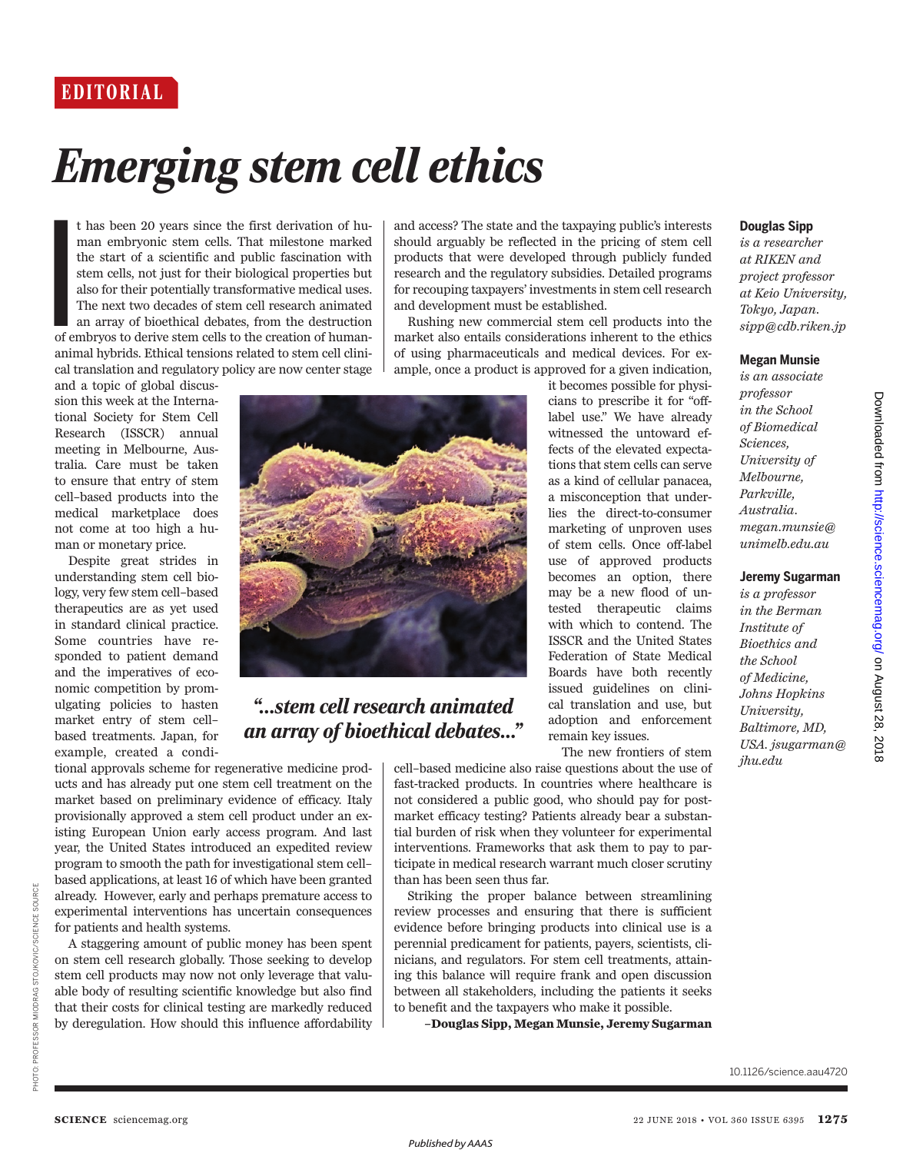# *Emerging stem cell ethics*

International<br>
<u>International</u> t has been 20 years since the first derivation of human embryonic stem cells. That milestone marked the start of a scientific and public fascination with stem cells, not just for their biological properties but also for their potentially transformative medical uses. The next two decades of stem cell research animated an array of bioethical debates, from the destruction of embryos to derive stem cells to the creation of humananimal hybrids. Ethical tensions related to stem cell clinical translation and regulatory policy are now center stage

and a topic of global discussion this week at the International Society for Stem Cell Research (ISSCR) annual meeting in Melbourne, Australia. Care must be taken to ensure that entry of stem cell–based products into the medical marketplace does not come at too high a human or monetary price.

Despite great strides in understanding stem cell biology, very few stem cell–based therapeutics are as yet used in standard clinical practice. Some countries have responded to patient demand and the imperatives of economic competition by promulgating policies to hasten market entry of stem cell– based treatments. Japan, for example, created a condi-



## *"…stem cell research animated an array of bioethical debates…"*

tional approvals scheme for regenerative medicine products and has already put one stem cell treatment on the market based on preliminary evidence of efficacy. Italy provisionally approved a stem cell product under an existing European Union early access program. And last year, the United States introduced an expedited review program to smooth the path for investigational stem cell– based applications, at least 16 of which have been granted already. However, early and perhaps premature access to experimental interventions has uncertain consequences for patients and health systems.

A staggering amount of public money has been spent on stem cell research globally. Those seeking to develop stem cell products may now not only leverage that valuable body of resulting scientific knowledge but also find that their costs for clinical testing are markedly reduced by deregulation. How should this influence affordability and access? The state and the taxpaying public's interests should arguably be reflected in the pricing of stem cell products that were developed through publicly funded research and the regulatory subsidies. Detailed programs for recouping taxpayers' investments in stem cell research and development must be established.

Rushing new commercial stem cell products into the market also entails considerations inherent to the ethics of using pharmaceuticals and medical devices. For example, once a product is approved for a given indication,

it becomes possible for physicians to prescribe it for "offlabel use." We have already witnessed the untoward effects of the elevated expectations that stem cells can serve as a kind of cellular panacea, a misconception that underlies the direct-to-consumer marketing of unproven uses of stem cells. Once off-label use of approved products becomes an option, there may be a new flood of untested therapeutic claims with which to contend. The ISSCR and the United States Federation of State Medical Boards have both recently issued guidelines on clinical translation and use, but adoption and enforcement remain key issues.

The new frontiers of stem

cell–based medicine also raise questions about the use of fast-tracked products. In countries where healthcare is not considered a public good, who should pay for postmarket efficacy testing? Patients already bear a substantial burden of risk when they volunteer for experimental interventions. Frameworks that ask them to pay to participate in medical research warrant much closer scrutiny than has been seen thus far.

Striking the proper balance between streamlining review processes and ensuring that there is sufficient evidence before bringing products into clinical use is a perennial predicament for patients, payers, scientists, clinicians, and regulators. For stem cell treatments, attaining this balance will require frank and open discussion between all stakeholders, including the patients it seeks to benefit and the taxpayers who make it possible.

**–Douglas Sipp, Megan Munsie, Jeremy Sugarman** 

#### **Douglas Sipp**

*is a researcher at RIKEN and project professor at Keio University, Tokyo, Japan. sipp@cdb.riken.jp*

#### **Megan Munsie**

*is an associate professor in the School of Biomedical Sciences, University of Melbourne, Parkville, Australia. megan.munsie@ unimelb.edu.au*

**Jeremy Sugarman** *is a professor in the Berman Institute of Bioethics and the School of Medicine, Johns Hopkins University, Baltimore, MD, USA. jsugarman@*

*jhu.edu*